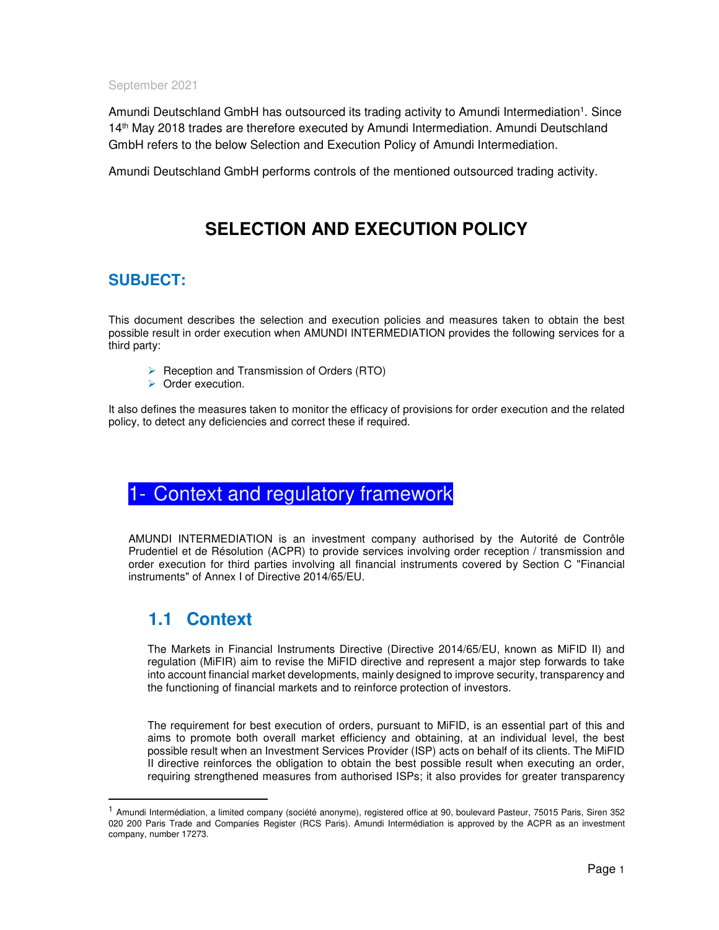#### September 2021

Amundi Deutschland GmbH has outsourced its trading activity to Amundi Intermediation<sup>1</sup>. Since 14th May 2018 trades are therefore executed by Amundi Intermediation. Amundi Deutschland GmbH refers to the below Selection and Execution Policy of Amundi Intermediation.

Amundi Deutschland GmbH performs controls of the mentioned outsourced trading activity.

## **SELECTION AND EXECUTION POLICY**

### **SUBJECT:**

This document describes the selection and execution policies and measures taken to obtain the best possible result in order execution when AMUNDI INTERMEDIATION provides the following services for a third party:

- $\triangleright$  Reception and Transmission of Orders (RTO)
- ▶ Order execution.

It also defines the measures taken to monitor the efficacy of provisions for order execution and the related policy, to detect any deficiencies and correct these if required.

## - Context and regulatory framework

AMUNDI INTERMEDIATION is an investment company authorised by the Autorité de Contrôle Prudentiel et de Résolution (ACPR) to provide services involving order reception / transmission and order execution for third parties involving all financial instruments covered by Section C "Financial instruments" of Annex I of Directive 2014/65/EU.

## **1.1 Context**

-

The Markets in Financial Instruments Directive (Directive 2014/65/EU, known as MiFID II) and regulation (MiFIR) aim to revise the MiFID directive and represent a major step forwards to take into account financial market developments, mainly designed to improve security, transparency and the functioning of financial markets and to reinforce protection of investors.

The requirement for best execution of orders, pursuant to MiFID, is an essential part of this and aims to promote both overall market efficiency and obtaining, at an individual level, the best possible result when an Investment Services Provider (ISP) acts on behalf of its clients. The MiFID II directive reinforces the obligation to obtain the best possible result when executing an order, requiring strengthened measures from authorised ISPs; it also provides for greater transparency

<sup>1</sup> Amundi Intermédiation, a limited company (société anonyme), registered office at 90, boulevard Pasteur, 75015 Paris, Siren 352 020 200 Paris Trade and Companies Register (RCS Paris). Amundi Intermédiation is approved by the ACPR as an investment company, number 17273.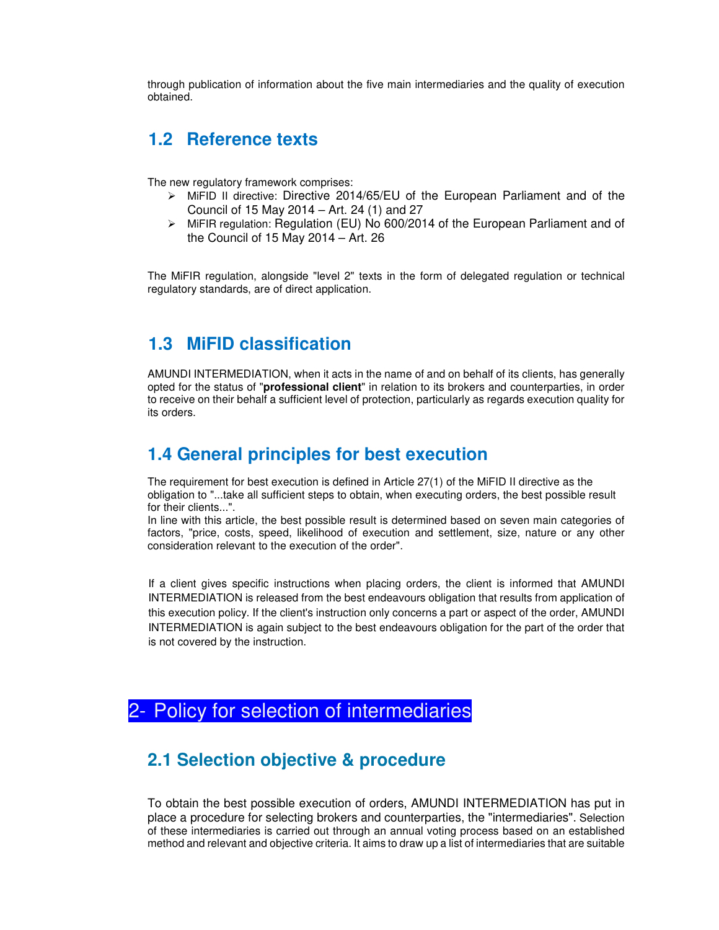through publication of information about the five main intermediaries and the quality of execution obtained.

### **1.2 Reference texts**

The new regulatory framework comprises:

- $\triangleright$  MiFID II directive: Directive 2014/65/EU of the European Parliament and of the Council of 15 May 2014 – Art. 24 (1) and 27
- $\triangleright$  MiFIR regulation: Regulation (EU) No 600/2014 of the European Parliament and of the Council of 15 May 2014 – Art. 26

The MiFIR regulation, alongside "level 2" texts in the form of delegated regulation or technical regulatory standards, are of direct application.

### **1.3 MiFID classification**

AMUNDI INTERMEDIATION, when it acts in the name of and on behalf of its clients, has generally opted for the status of "**professional client**" in relation to its brokers and counterparties, in order to receive on their behalf a sufficient level of protection, particularly as regards execution quality for its orders.

### **1.4 General principles for best execution**

The requirement for best execution is defined in Article 27(1) of the MiFID II directive as the obligation to "...take all sufficient steps to obtain, when executing orders, the best possible result for their clients...".

In line with this article, the best possible result is determined based on seven main categories of factors, "price, costs, speed, likelihood of execution and settlement, size, nature or any other consideration relevant to the execution of the order".

If a client gives specific instructions when placing orders, the client is informed that AMUNDI INTERMEDIATION is released from the best endeavours obligation that results from application of this execution policy. If the client's instruction only concerns a part or aspect of the order, AMUNDI INTERMEDIATION is again subject to the best endeavours obligation for the part of the order that is not covered by the instruction.

## 2- Policy for selection of intermediaries

### **2.1 Selection objective & procedure**

To obtain the best possible execution of orders, AMUNDI INTERMEDIATION has put in place a procedure for selecting brokers and counterparties, the "intermediaries". Selection of these intermediaries is carried out through an annual voting process based on an established method and relevant and objective criteria. It aims to draw up a list of intermediaries that are suitable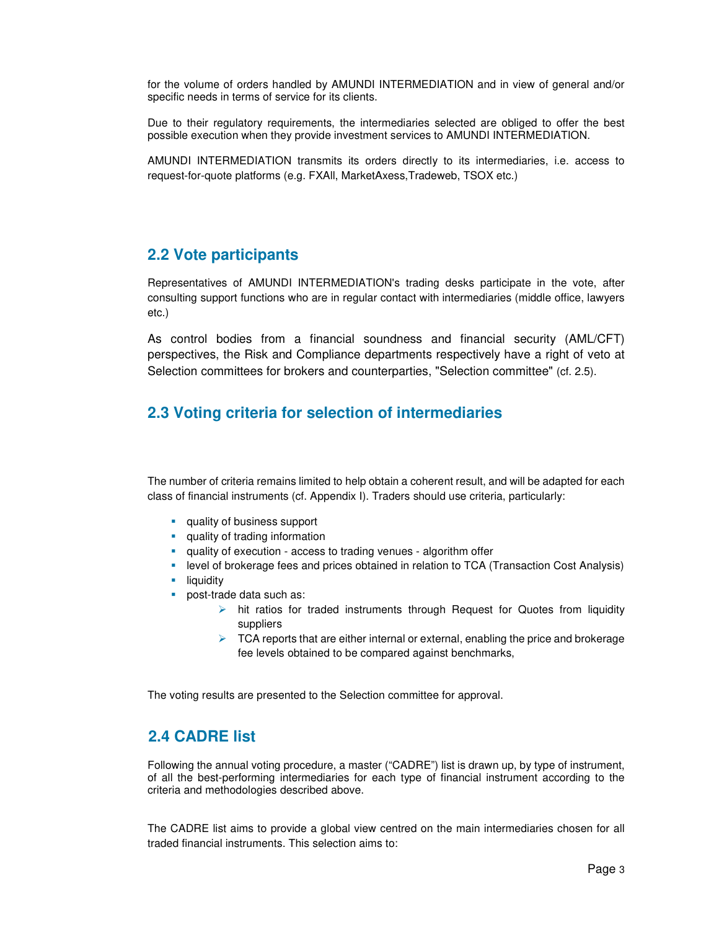for the volume of orders handled by AMUNDI INTERMEDIATION and in view of general and/or specific needs in terms of service for its clients.

Due to their regulatory requirements, the intermediaries selected are obliged to offer the best possible execution when they provide investment services to AMUNDI INTERMEDIATION.

AMUNDI INTERMEDIATION transmits its orders directly to its intermediaries, i.e. access to request-for-quote platforms (e.g. FXAll, MarketAxess,Tradeweb, TSOX etc.)

#### **2.2 Vote participants**

Representatives of AMUNDI INTERMEDIATION's trading desks participate in the vote, after consulting support functions who are in regular contact with intermediaries (middle office, lawyers etc.)

As control bodies from a financial soundness and financial security (AML/CFT) perspectives, the Risk and Compliance departments respectively have a right of veto at Selection committees for brokers and counterparties, "Selection committee" (cf. 2.5).

#### **2.3 Voting criteria for selection of intermediaries**

The number of criteria remains limited to help obtain a coherent result, and will be adapted for each class of financial instruments (cf. Appendix I). Traders should use criteria, particularly:

- **quality of business support**
- **quality of trading information**
- quality of execution access to trading venues algorithm offer
- **EXECTE FIGHT IS COVER A** is level of brokerage fees and prices obtained in relation to TCA (Transaction Cost Analysis)
- **I**liquidity
- post-trade data such as:
	- $\triangleright$  hit ratios for traded instruments through Request for Quotes from liquidity suppliers
	- $\triangleright$  TCA reports that are either internal or external, enabling the price and brokerage fee levels obtained to be compared against benchmarks,

The voting results are presented to the Selection committee for approval.

#### **2.4 CADRE list**

Following the annual voting procedure, a master ("CADRE") list is drawn up, by type of instrument, of all the best-performing intermediaries for each type of financial instrument according to the criteria and methodologies described above.

The CADRE list aims to provide a global view centred on the main intermediaries chosen for all traded financial instruments. This selection aims to: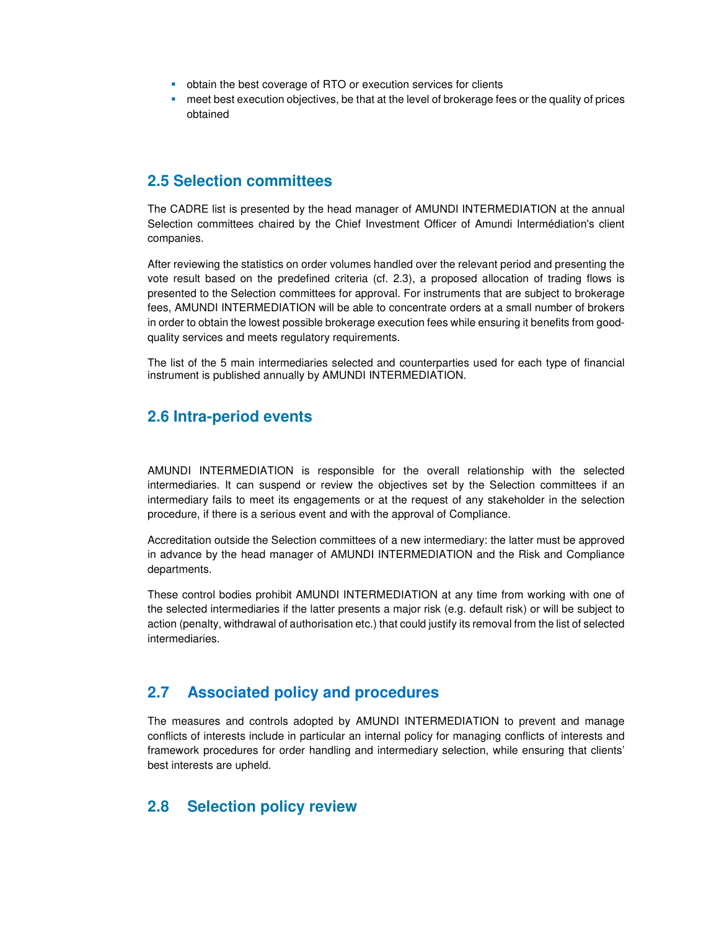- obtain the best coverage of RTO or execution services for clients
- meet best execution objectives, be that at the level of brokerage fees or the quality of prices obtained

#### **2.5 Selection committees**

The CADRE list is presented by the head manager of AMUNDI INTERMEDIATION at the annual Selection committees chaired by the Chief Investment Officer of Amundi Intermédiation's client companies.

After reviewing the statistics on order volumes handled over the relevant period and presenting the vote result based on the predefined criteria (cf. 2.3), a proposed allocation of trading flows is presented to the Selection committees for approval. For instruments that are subject to brokerage fees, AMUNDI INTERMEDIATION will be able to concentrate orders at a small number of brokers in order to obtain the lowest possible brokerage execution fees while ensuring it benefits from goodquality services and meets regulatory requirements.

The list of the 5 main intermediaries selected and counterparties used for each type of financial instrument is published annually by AMUNDI INTERMEDIATION.

#### **2.6 Intra-period events**

AMUNDI INTERMEDIATION is responsible for the overall relationship with the selected intermediaries. It can suspend or review the objectives set by the Selection committees if an intermediary fails to meet its engagements or at the request of any stakeholder in the selection procedure, if there is a serious event and with the approval of Compliance.

Accreditation outside the Selection committees of a new intermediary: the latter must be approved in advance by the head manager of AMUNDI INTERMEDIATION and the Risk and Compliance departments.

These control bodies prohibit AMUNDI INTERMEDIATION at any time from working with one of the selected intermediaries if the latter presents a major risk (e.g. default risk) or will be subject to action (penalty, withdrawal of authorisation etc.) that could justify its removal from the list of selected intermediaries.

#### **2.7 Associated policy and procedures**

The measures and controls adopted by AMUNDI INTERMEDIATION to prevent and manage conflicts of interests include in particular an internal policy for managing conflicts of interests and framework procedures for order handling and intermediary selection, while ensuring that clients' best interests are upheld.

#### **2.8 Selection policy review**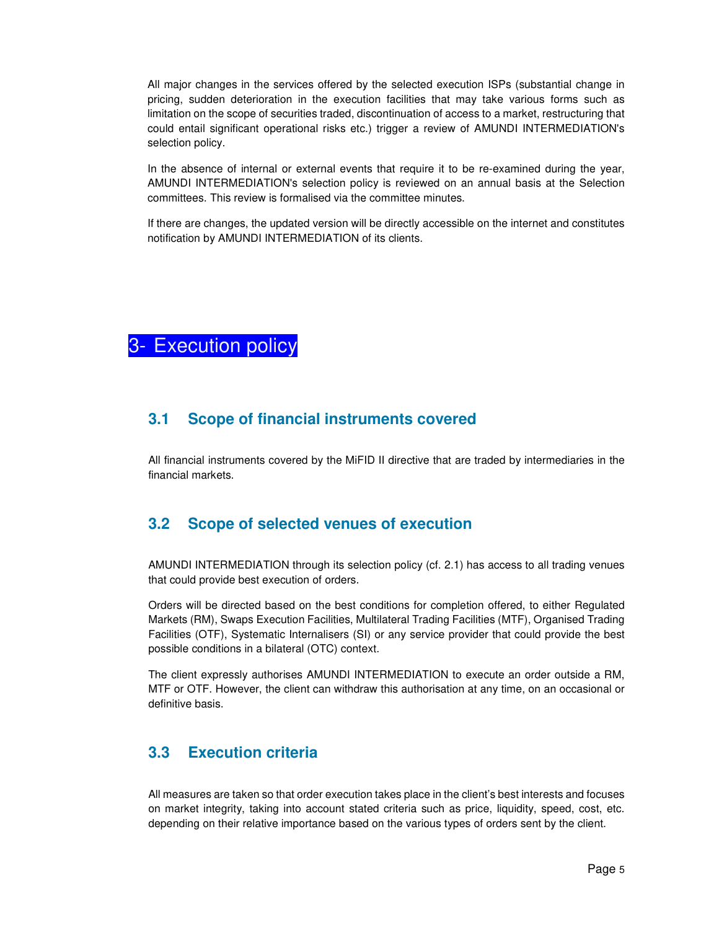All major changes in the services offered by the selected execution ISPs (substantial change in pricing, sudden deterioration in the execution facilities that may take various forms such as limitation on the scope of securities traded, discontinuation of access to a market, restructuring that could entail significant operational risks etc.) trigger a review of AMUNDI INTERMEDIATION's selection policy.

In the absence of internal or external events that require it to be re-examined during the year, AMUNDI INTERMEDIATION's selection policy is reviewed on an annual basis at the Selection committees. This review is formalised via the committee minutes.

If there are changes, the updated version will be directly accessible on the internet and constitutes notification by AMUNDI INTERMEDIATION of its clients.



#### **3.1 Scope of financial instruments covered**

All financial instruments covered by the MiFID II directive that are traded by intermediaries in the financial markets.

### **3.2 Scope of selected venues of execution**

AMUNDI INTERMEDIATION through its selection policy (cf. 2.1) has access to all trading venues that could provide best execution of orders.

Orders will be directed based on the best conditions for completion offered, to either Regulated Markets (RM), Swaps Execution Facilities, Multilateral Trading Facilities (MTF), Organised Trading Facilities (OTF), Systematic Internalisers (SI) or any service provider that could provide the best possible conditions in a bilateral (OTC) context.

The client expressly authorises AMUNDI INTERMEDIATION to execute an order outside a RM, MTF or OTF. However, the client can withdraw this authorisation at any time, on an occasional or definitive basis.

### **3.3 Execution criteria**

All measures are taken so that order execution takes place in the client's best interests and focuses on market integrity, taking into account stated criteria such as price, liquidity, speed, cost, etc. depending on their relative importance based on the various types of orders sent by the client.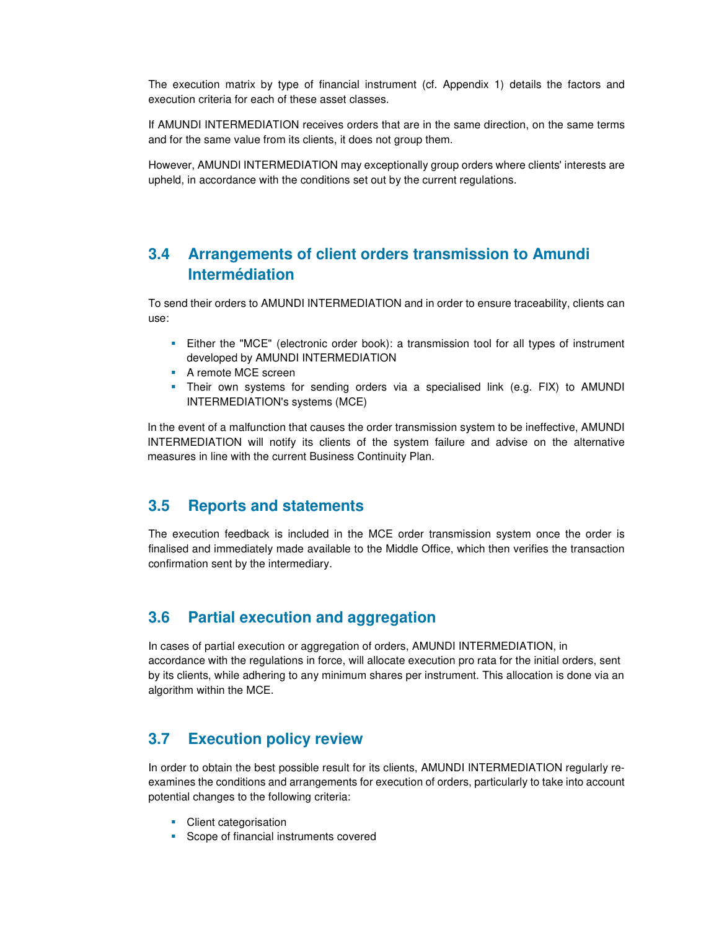The execution matrix by type of financial instrument (cf. Appendix 1) details the factors and execution criteria for each of these asset classes.

If AMUNDI INTERMEDIATION receives orders that are in the same direction, on the same terms and for the same value from its clients, it does not group them.

However, AMUNDI INTERMEDIATION may exceptionally group orders where clients' interests are upheld, in accordance with the conditions set out by the current regulations.

#### **3.4 Arrangements of client orders transmission to Amundi Intermédiation**

To send their orders to AMUNDI INTERMEDIATION and in order to ensure traceability, clients can use:

- Either the "MCE" (electronic order book): a transmission tool for all types of instrument developed by AMUNDI INTERMEDIATION
- **A** remote MCE screen
- Their own systems for sending orders via a specialised link (e.g. FIX) to AMUNDI INTERMEDIATION's systems (MCE)

In the event of a malfunction that causes the order transmission system to be ineffective, AMUNDI INTERMEDIATION will notify its clients of the system failure and advise on the alternative measures in line with the current Business Continuity Plan.

#### **3.5 Reports and statements**

The execution feedback is included in the MCE order transmission system once the order is finalised and immediately made available to the Middle Office, which then verifies the transaction confirmation sent by the intermediary.

#### **3.6 Partial execution and aggregation**

In cases of partial execution or aggregation of orders, AMUNDI INTERMEDIATION, in accordance with the regulations in force, will allocate execution pro rata for the initial orders, sent by its clients, while adhering to any minimum shares per instrument. This allocation is done via an algorithm within the MCE.

#### **3.7 Execution policy review**

In order to obtain the best possible result for its clients, AMUNDI INTERMEDIATION regularly reexamines the conditions and arrangements for execution of orders, particularly to take into account potential changes to the following criteria:

- Client categorisation
- **Scope of financial instruments covered**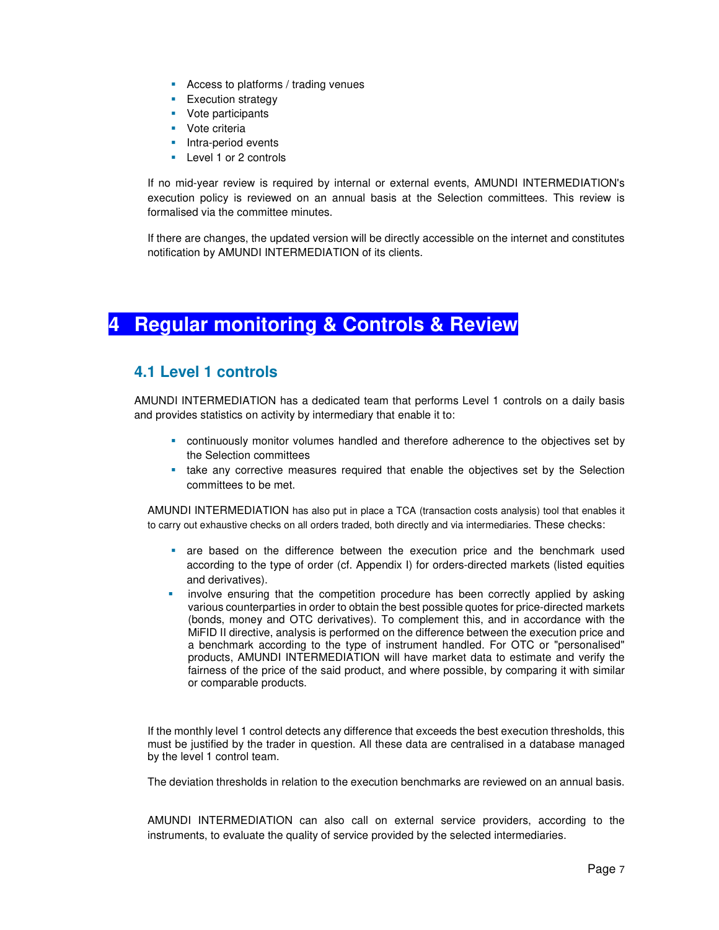- **Access to platforms / trading venues**
- **Execution strategy**
- **•** Vote participants
- **Vote criteria**
- Intra-period events
- Level 1 or 2 controls

If no mid-year review is required by internal or external events, AMUNDI INTERMEDIATION's execution policy is reviewed on an annual basis at the Selection committees. This review is formalised via the committee minutes.

If there are changes, the updated version will be directly accessible on the internet and constitutes notification by AMUNDI INTERMEDIATION of its clients.

# **4 Regular monitoring & Controls & Review**

#### **4.1 Level 1 controls**

AMUNDI INTERMEDIATION has a dedicated team that performs Level 1 controls on a daily basis and provides statistics on activity by intermediary that enable it to:

- continuously monitor volumes handled and therefore adherence to the objectives set by the Selection committees
- take any corrective measures required that enable the objectives set by the Selection committees to be met.

AMUNDI INTERMEDIATION has also put in place a TCA (transaction costs analysis) tool that enables it to carry out exhaustive checks on all orders traded, both directly and via intermediaries. These checks:

- are based on the difference between the execution price and the benchmark used according to the type of order (cf. Appendix I) for orders-directed markets (listed equities and derivatives).
- involve ensuring that the competition procedure has been correctly applied by asking various counterparties in order to obtain the best possible quotes for price-directed markets (bonds, money and OTC derivatives). To complement this, and in accordance with the MiFID II directive, analysis is performed on the difference between the execution price and a benchmark according to the type of instrument handled. For OTC or "personalised" products, AMUNDI INTERMEDIATION will have market data to estimate and verify the fairness of the price of the said product, and where possible, by comparing it with similar or comparable products.

If the monthly level 1 control detects any difference that exceeds the best execution thresholds, this must be justified by the trader in question. All these data are centralised in a database managed by the level 1 control team.

The deviation thresholds in relation to the execution benchmarks are reviewed on an annual basis.

AMUNDI INTERMEDIATION can also call on external service providers, according to the instruments, to evaluate the quality of service provided by the selected intermediaries.